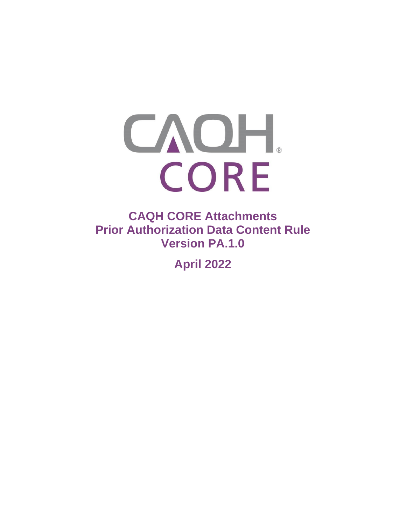

**CAQH CORE Attachments Prior Authorization Data Content Rule Version PA.1.0** 

**April 2022**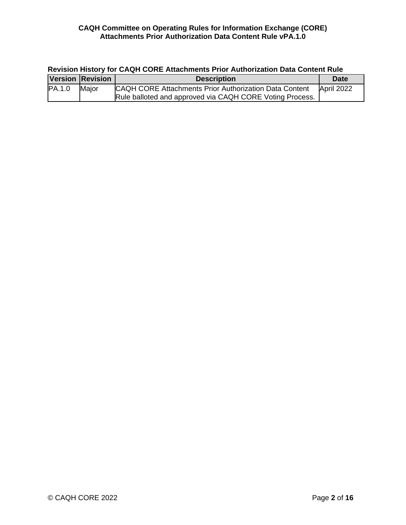| Revision History for CAQH CORE Attachments Prior Authorization Data Content Rule |       |                                                                                                                    |            |  |  |
|----------------------------------------------------------------------------------|-------|--------------------------------------------------------------------------------------------------------------------|------------|--|--|
| <b>Version Revision</b>                                                          |       | <b>Description</b>                                                                                                 | Date       |  |  |
| PA.1.0                                                                           | Major | CAQH CORE Attachments Prior Authorization Data Content<br>Rule balloted and approved via CAQH CORE Voting Process. | April 2022 |  |  |

## **Revision History for CAQH CORE Attachments Prior Authorization Data Content Rule**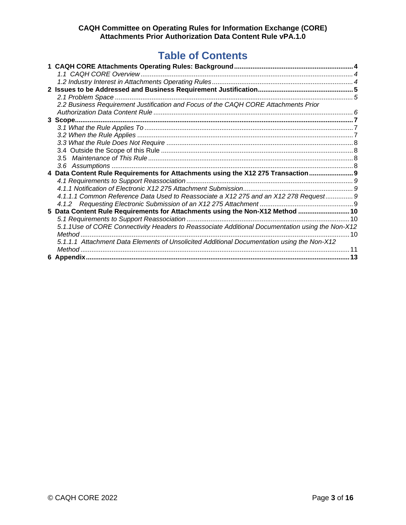# **Table of Contents**

| 2.2 Business Requirement Justification and Focus of the CAQH CORE Attachments Prior             |  |
|-------------------------------------------------------------------------------------------------|--|
|                                                                                                 |  |
|                                                                                                 |  |
|                                                                                                 |  |
|                                                                                                 |  |
|                                                                                                 |  |
|                                                                                                 |  |
| 3.5                                                                                             |  |
|                                                                                                 |  |
| 4 Data Content Rule Requirements for Attachments using the X12 275 Transaction 9                |  |
|                                                                                                 |  |
|                                                                                                 |  |
| 4.1.1.1 Common Reference Data Used to Reassociate a X12 275 and an X12 278 Request 9            |  |
|                                                                                                 |  |
| 5 Data Content Rule Requirements for Attachments using the Non-X12 Method  10                   |  |
|                                                                                                 |  |
| 5.1.1Use of CORE Connectivity Headers to Reassociate Additional Documentation using the Non-X12 |  |
|                                                                                                 |  |
| 5.1.1.1 Attachment Data Elements of Unsolicited Additional Documentation using the Non-X12      |  |
|                                                                                                 |  |
|                                                                                                 |  |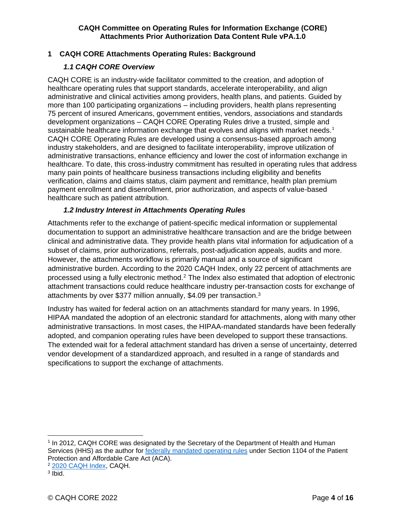## <span id="page-3-0"></span>**1 CAQH CORE Attachments Operating Rules: Background**

## *1.1 CAQH CORE Overview*

<span id="page-3-1"></span>CAQH CORE is an industry-wide facilitator committed to the creation, and adoption of healthcare operating rules that support standards, accelerate interoperability, and align administrative and clinical activities among providers, health plans, and patients. Guided by more than 100 participating organizations – including providers, health plans representing 75 percent of insured Americans, government entities, vendors, associations and standards development organizations – CAQH CORE Operating Rules drive a trusted, simple and sustainable healthcare information exchange that evolves and aligns with market needs. $1$ CAQH CORE Operating Rules are developed using a consensus-based approach among industry stakeholders, and are designed to facilitate interoperability, improve utilization of administrative transactions, enhance efficiency and lower the cost of information exchange in healthcare. To date, this cross-industry commitment has resulted in operating rules that address many pain points of healthcare business transactions including eligibility and benefits verification, claims and claims status, claim payment and remittance, health plan premium payment enrollment and disenrollment, prior authorization, and aspects of value-based healthcare such as patient attribution.

#### *1.2 Industry Interest in Attachments Operating Rules*

<span id="page-3-2"></span>Attachments refer to the exchange of patient-specific medical information or supplemental documentation to support an administrative healthcare transaction and are the bridge between clinical and administrative data. They provide health plans vital information for adjudication of a subset of claims, prior authorizations, referrals, post-adjudication appeals, audits and more. However, the attachments workflow is primarily manual and a source of significant administrative burden. According to the 2020 CAQH Index, only 22 percent of attachments are processed using a fully electronic method.<sup>2</sup> The Index also estimated that adoption of electronic attachment transactions could reduce healthcare industry per-transaction costs for exchange of attachments by over \$377 million annually, \$4.09 per transaction.<sup>3</sup>

Industry has waited for federal action on an attachments standard for many years. In 1996, HIPAA mandated the adoption of an electronic standard for attachments, along with many other administrative transactions. In most cases, the HIPAA-mandated standards have been federally adopted, and companion operating rules have been developed to support these transactions. The extended wait for a federal attachment standard has driven a sense of uncertainty, deterred vendor development of a standardized approach, and resulted in a range of standards and specifications to support the exchange of attachments.

<sup>1</sup> In 2012, CAQH CORE was designated by the Secretary of the Department of Health and Human Services (HHS) as the author for [federally mandated operating rules](https://www.cms.gov/Regulations-and-Guidance/Administrative-Simplification/Operating-Rules/OperatingRulesOverview) under Section 1104 of the Patient Protection and Affordable Care Act (ACA).

<sup>2</sup> [2020 CAQH Index,](https://www.caqh.org/sites/default/files/explorations/index/2020-caqh-index.pdf) CAQH.

<sup>&</sup>lt;sup>3</sup> Ibid.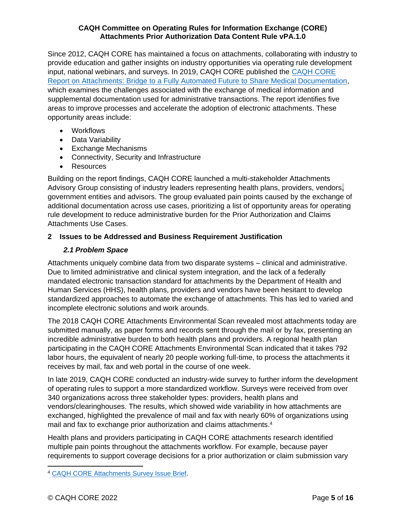Since 2012, CAQH CORE has maintained a focus on attachments, collaborating with industry to provide education and gather insights on industry opportunities via operating rule development input, national webinars, and surveys. In 2019, CAQH CORE published the [CAQH CORE](https://www.caqh.org/sites/default/files/core/core-attachments-environmental-scan-report.pdf?token=qLyOezlD)  [Report on Attachments: Bridge to a Fully Automated Future to Share Medical Documentation,](https://www.caqh.org/sites/default/files/core/core-attachments-environmental-scan-report.pdf?token=qLyOezlD) which examines the challenges associated with the exchange of medical information and supplemental documentation used for administrative transactions. The report identifies five areas to improve processes and accelerate the adoption of electronic attachments. These opportunity areas include:

- Workflows
- Data Variability
- Exchange Mechanisms
- Connectivity, Security and Infrastructure
- Resources

Building on the report findings, CAQH CORE launched a multi-stakeholder Attachments Advisory Group consisting of industry leaders representing health plans, providers, vendors, government entities and advisors. The group evaluated pain points caused by the exchange of additional documentation across use cases, prioritizing a list of opportunity areas for operating rule development to reduce administrative burden for the Prior Authorization and Claims Attachments Use Cases.

## <span id="page-4-0"></span>**2 Issues to be Addressed and Business Requirement Justification**

## <span id="page-4-1"></span>*2.1 Problem Space*

Attachments uniquely combine data from two disparate systems – clinical and administrative. Due to limited administrative and clinical system integration, and the lack of a federally mandated electronic transaction standard for attachments by the Department of Health and Human Services (HHS), health plans, providers and vendors have been hesitant to develop standardized approaches to automate the exchange of attachments. This has led to varied and incomplete electronic solutions and work arounds.

The 2018 CAQH CORE Attachments Environmental Scan revealed most attachments today are submitted manually, as paper forms and records sent through the mail or by fax, presenting an incredible administrative burden to both health plans and providers. A regional health plan participating in the CAQH CORE Attachments Environmental Scan indicated that it takes 792 labor hours, the equivalent of nearly 20 people working full-time, to process the attachments it receives by mail, fax and web portal in the course of one week.

In late 2019, CAQH CORE conducted an industry-wide survey to further inform the development of operating rules to support a more standardized workflow. Surveys were received from over 340 organizations across three stakeholder types: providers, health plans and vendors/clearinghouses. The results, which showed wide variability in how attachments are exchanged, highlighted the prevalence of mail and fax with nearly 60% of organizations using mail and fax to exchange prior authorization and claims attachments.<sup>4</sup>

Health plans and providers participating in CAQH CORE attachments research identified multiple pain points throughout the attachments workflow. For example, because payer requirements to support coverage decisions for a prior authorization or claim submission vary

<sup>4</sup> [CAQH CORE Attachments Survey Issue Brief.](https://www.caqh.org/sites/default/files/CAQH_CORE_Attachments_Survey_Issue_Brief.pdf)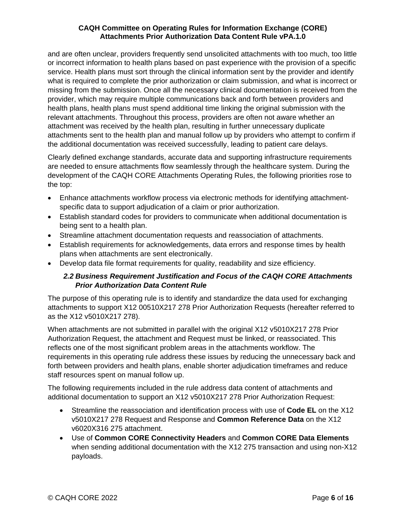and are often unclear, providers frequently send unsolicited attachments with too much, too little or incorrect information to health plans based on past experience with the provision of a specific service. Health plans must sort through the clinical information sent by the provider and identify what is required to complete the prior authorization or claim submission, and what is incorrect or missing from the submission. Once all the necessary clinical documentation is received from the provider, which may require multiple communications back and forth between providers and health plans, health plans must spend additional time linking the original submission with the relevant attachments. Throughout this process, providers are often not aware whether an attachment was received by the health plan, resulting in further unnecessary duplicate attachments sent to the health plan and manual follow up by providers who attempt to confirm if the additional documentation was received successfully, leading to patient care delays.

Clearly defined exchange standards, accurate data and supporting infrastructure requirements are needed to ensure attachments flow seamlessly through the healthcare system. During the development of the CAQH CORE Attachments Operating Rules, the following priorities rose to the top:

- Enhance attachments workflow process via electronic methods for identifying attachmentspecific data to support adjudication of a claim or prior authorization.
- Establish standard codes for providers to communicate when additional documentation is being sent to a health plan.
- Streamline attachment documentation requests and reassociation of attachments.
- Establish requirements for acknowledgements, data errors and response times by health plans when attachments are sent electronically.
- <span id="page-5-0"></span>• Develop data file format requirements for quality, readability and size efficiency.

## *2.2 Business Requirement Justification and Focus of the CAQH CORE Attachments Prior Authorization Data Content Rule*

The purpose of this operating rule is to identify and standardize the data used for exchanging attachments to support X12 00510X217 278 Prior Authorization Requests (hereafter referred to as the X12 v5010X217 278).

When attachments are not submitted in parallel with the original X12 v5010X217 278 Prior Authorization Request, the attachment and Request must be linked, or reassociated. This reflects one of the most significant problem areas in the attachments workflow. The requirements in this operating rule address these issues by reducing the unnecessary back and forth between providers and health plans, enable shorter adjudication timeframes and reduce staff resources spent on manual follow up.

The following requirements included in the rule address data content of attachments and additional documentation to support an X12 v5010X217 278 Prior Authorization Request:

- Streamline the reassociation and identification process with use of **Code EL** on the X12 v5010X217 278 Request and Response and **Common Reference Data** on the X12 v6020X316 275 attachment.
- Use of **Common CORE Connectivity Headers** and **Common CORE Data Elements** when sending additional documentation with the X12 275 transaction and using non-X12 payloads.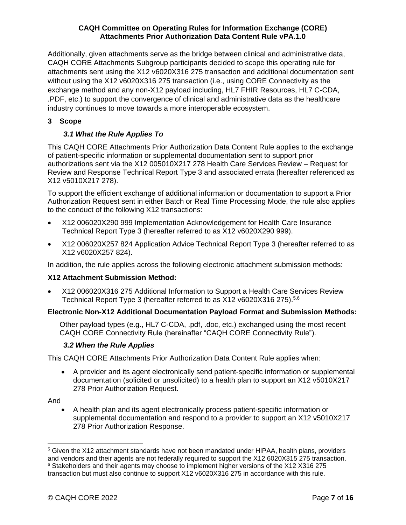Additionally, given attachments serve as the bridge between clinical and administrative data, CAQH CORE Attachments Subgroup participants decided to scope this operating rule for attachments sent using the X12 v6020X316 275 transaction and additional documentation sent without using the X12 v6020X316 275 transaction (i.e., using CORE Connectivity as the exchange method and any non-X12 payload including, HL7 FHIR Resources, HL7 C-CDA, .PDF, etc.) to support the convergence of clinical and administrative data as the healthcare industry continues to move towards a more interoperable ecosystem.

## <span id="page-6-1"></span><span id="page-6-0"></span>**3 Scope**

## *3.1 What the Rule Applies To*

This CAQH CORE Attachments Prior Authorization Data Content Rule applies to the exchange of patient-specific information or supplemental documentation sent to support prior authorizations sent via the X12 005010X217 278 Health Care Services Review – Request for Review and Response Technical Report Type 3 and associated errata (hereafter referenced as X12 v5010X217 278).

To support the efficient exchange of additional information or documentation to support a Prior Authorization Request sent in either Batch or Real Time Processing Mode, the rule also applies to the conduct of the following X12 transactions:

- X12 006020X290 999 Implementation Acknowledgement for Health Care Insurance Technical Report Type 3 (hereafter referred to as X12 v6020X290 999).
- X12 006020X257 824 Application Advice Technical Report Type 3 (hereafter referred to as X12 v6020X257 824).

In addition, the rule applies across the following electronic attachment submission methods:

#### **X12 Attachment Submission Method:**

• X12 006020X316 275 Additional Information to Support a Health Care Services Review Technical Report Type 3 (hereafter referred to as X12 v6020X316 275).<sup>5,6</sup>

#### **Electronic Non-X12 Additional Documentation Payload Format and Submission Methods:**

Other payload types (e.g., HL7 C-CDA, .pdf, .doc, etc.) exchanged using the most recent CAQH CORE Connectivity Rule (hereinafter "CAQH CORE Connectivity Rule").

#### *3.2 When the Rule Applies*

<span id="page-6-2"></span>This CAQH CORE Attachments Prior Authorization Data Content Rule applies when:

• A provider and its agent electronically send patient-specific information or supplemental documentation (solicited or unsolicited) to a health plan to support an X12 v5010X217 278 Prior Authorization Request.

And

• A health plan and its agent electronically process patient-specific information or supplemental documentation and respond to a provider to support an X12 v5010X217 278 Prior Authorization Response.

<sup>5</sup> Given the X12 attachment standards have not been mandated under HIPAA, health plans, providers and vendors and their agents are not federally required to support the X12 6020X315 275 transaction. <sup>6</sup> Stakeholders and their agents may choose to implement higher versions of the X12 X316 275 transaction but must also continue to support X12 v6020X316 275 in accordance with this rule.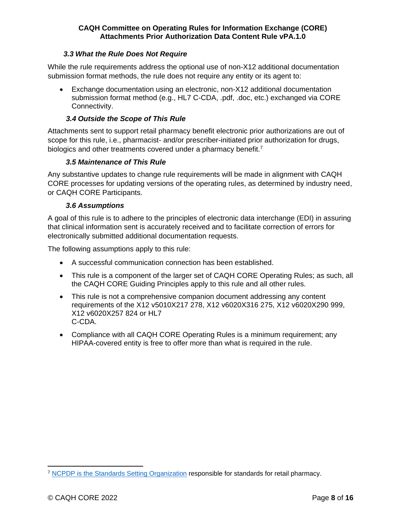#### *3.3 What the Rule Does Not Require*

<span id="page-7-0"></span>While the rule requirements address the optional use of non-X12 additional documentation submission format methods, the rule does not require any entity or its agent to:

• Exchange documentation using an electronic, non-X12 additional documentation submission format method (e.g., HL7 C-CDA, .pdf, .doc, etc.) exchanged via CORE Connectivity.

#### *3.4 Outside the Scope of This Rule*

Attachments sent to support retail pharmacy benefit electronic prior authorizations are out of scope for this rule, i.e., pharmacist- and/or prescriber-initiated prior authorization for drugs, biologics and other treatments covered under a pharmacy benefit.<sup>7</sup>

#### <span id="page-7-1"></span>*3.5 Maintenance of This Rule*

Any substantive updates to change rule requirements will be made in alignment with CAQH CORE processes for updating versions of the operating rules, as determined by industry need, or CAQH CORE Participants.

#### <span id="page-7-2"></span>*3.6 Assumptions*

A goal of this rule is to adhere to the principles of electronic data interchange (EDI) in assuring that clinical information sent is accurately received and to facilitate correction of errors for electronically submitted additional documentation requests.

The following assumptions apply to this rule:

- A successful communication connection has been established.
- This rule is a component of the larger set of CAQH CORE Operating Rules; as such, all the CAQH CORE Guiding Principles apply to this rule and all other rules.
- This rule is not a comprehensive companion document addressing any content requirements of the X12 v5010X217 278, X12 v6020X316 275, X12 v6020X290 999, X12 v6020X257 824 or HL7 C-CDA.
- Compliance with all CAQH CORE Operating Rules is a minimum requirement; any HIPAA-covered entity is free to offer more than what is required in the rule.

<sup>&</sup>lt;sup>7</sup> [NCPDP is the Standards Setting Organization](https://standards.ncpdp.org/) responsible for standards for retail pharmacy.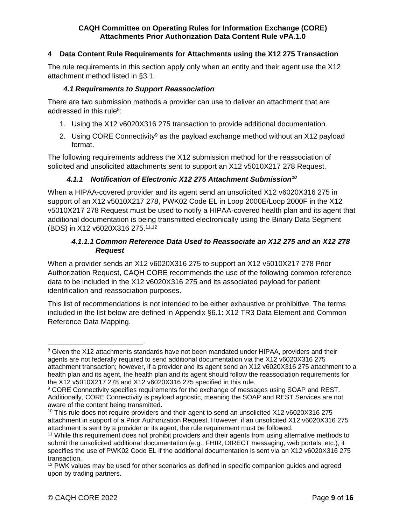## <span id="page-8-0"></span>**4 Data Content Rule Requirements for Attachments using the X12 275 Transaction**

The rule requirements in this section apply only when an entity and their agent use the X12 attachment method listed in §3.1.

#### *4.1 Requirements to Support Reassociation*

<span id="page-8-1"></span>There are two submission methods a provider can use to deliver an attachment that are addressed in this rule<sup>8</sup>:

- 1. Using the X12 v6020X316 275 transaction to provide additional documentation.
- 2. Using CORE Connectivity<sup>9</sup> as the payload exchange method without an  $X12$  payload format.

The following requirements address the X12 submission method for the reassociation of solicited and unsolicited attachments sent to support an X12 v5010X217 278 Request.

## *4.1.1 Notification of Electronic X12 275 Attachment Submission<sup>10</sup>*

<span id="page-8-2"></span>When a HIPAA-covered provider and its agent send an unsolicited X12 v6020X316 275 in support of an X12 v5010X217 278, PWK02 Code EL in Loop 2000E/Loop 2000F in the X12 v5010X217 278 Request must be used to notify a HIPAA-covered health plan and its agent that additional documentation is being transmitted electronically using the Binary Data Segment (BDS) in X12 v6020X316 275. 11,12

## *4.1.1.1 Common Reference Data Used to Reassociate an X12 275 and an X12 278 Request*

<span id="page-8-3"></span>When a provider sends an X12 v6020X316 275 to support an X12 v5010X217 278 Prior Authorization Request, CAQH CORE recommends the use of the following common reference data to be included in the X12 v6020X316 275 and its associated payload for patient identification and reassociation purposes.

This list of recommendations is not intended to be either exhaustive or prohibitive. The terms included in the list below are defined in Appendix §6.1: X12 TR3 Data Element and Common Reference Data Mapping.

<sup>&</sup>lt;sup>8</sup> Given the X12 attachments standards have not been mandated under HIPAA, providers and their agents are not federally required to send additional documentation via the X12 v6020X316 275 attachment transaction; however, if a provider and its agent send an X12 v6020X316 275 attachment to a health plan and its agent, the health plan and its agent should follow the reassociation requirements for the X12 v5010X217 278 and X12 v6020X316 275 specified in this rule.

<sup>&</sup>lt;sup>9</sup> CORE Connectivity specifies requirements for the exchange of messages using SOAP and REST. Additionally, CORE Connectivity is payload agnostic, meaning the SOAP and REST Services are not aware of the content being transmitted.

<sup>&</sup>lt;sup>10</sup> This rule does not require providers and their agent to send an unsolicited X12 v6020X316 275 attachment in support of a Prior Authorization Request. However, if an unsolicited X12 v6020X316 275 attachment is sent by a provider or its agent, the rule requirement must be followed.

<sup>&</sup>lt;sup>11</sup> While this requirement does not prohibit providers and their agents from using alternative methods to submit the unsolicited additional documentation (e.g., FHIR, DIRECT messaging, web portals, etc.), it specifies the use of PWK02 Code EL if the additional documentation is sent via an X12 v6020X316 275 transaction.

 $12$  PWK values may be used for other scenarios as defined in specific companion guides and agreed upon by trading partners.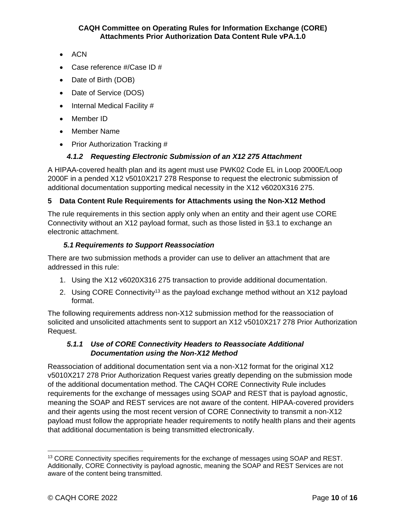- ACN
- Case reference #/Case ID #
- Date of Birth (DOB)
- Date of Service (DOS)
- Internal Medical Facility #
- Member ID
- Member Name
- Prior Authorization Tracking #

## *4.1.2 Requesting Electronic Submission of an X12 275 Attachment*

A HIPAA-covered health plan and its agent must use PWK02 Code EL in Loop 2000E/Loop 2000F in a pended X12 v5010X217 278 Response to request the electronic submission of additional documentation supporting medical necessity in the X12 v6020X316 275.

## <span id="page-9-0"></span>**5 Data Content Rule Requirements for Attachments using the Non-X12 Method**

The rule requirements in this section apply only when an entity and their agent use CORE Connectivity without an X12 payload format, such as those listed in §3.1 to exchange an electronic attachment.

#### *5.1 Requirements to Support Reassociation*

There are two submission methods a provider can use to deliver an attachment that are addressed in this rule:

- 1. Using the X12 v6020X316 275 transaction to provide additional documentation.
- 2. Using CORE Connectivity<sup>13</sup> as the payload exchange method without an  $X12$  payload format.

The following requirements address non-X12 submission method for the reassociation of solicited and unsolicited attachments sent to support an X12 v5010X217 278 Prior Authorization Request.

## <span id="page-9-1"></span>*5.1.1 Use of CORE Connectivity Headers to Reassociate Additional Documentation using the Non-X12 Method*

Reassociation of additional documentation sent via a non-X12 format for the original X12 v5010X217 278 Prior Authorization Request varies greatly depending on the submission mode of the additional documentation method. The CAQH CORE Connectivity Rule includes requirements for the exchange of messages using SOAP and REST that is payload agnostic, meaning the SOAP and REST services are not aware of the content. HIPAA-covered providers and their agents using the most recent version of CORE Connectivity to transmit a non-X12 payload must follow the appropriate header requirements to notify health plans and their agents that additional documentation is being transmitted electronically.

<sup>&</sup>lt;sup>13</sup> CORE Connectivity specifies requirements for the exchange of messages using SOAP and REST. Additionally, CORE Connectivity is payload agnostic, meaning the SOAP and REST Services are not aware of the content being transmitted.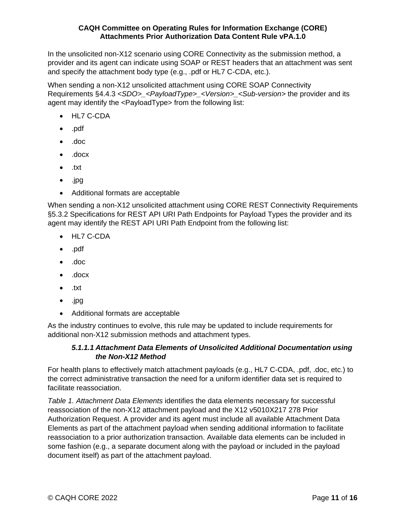In the unsolicited non-X12 scenario using CORE Connectivity as the submission method, a provider and its agent can indicate using SOAP or REST headers that an attachment was sent and specify the attachment body type (e.g., .pdf or HL7 C-CDA, etc.).

When sending a non-X12 unsolicited attachment using CORE SOAP Connectivity Requirements §4.4.3 *<SDO>\_<PayloadType>\_<Version>\_<Sub-version>* the provider and its agent may identify the <PayloadType> from the following list:

- HL7 C-CDA
- .pdf
- .doc
- .docx
- .txt
- .jpg
- Additional formats are acceptable

When sending a non-X12 unsolicited attachment using CORE REST Connectivity Requirements §5.3.2 Specifications for REST API URI Path Endpoints for Payload Types the provider and its agent may identify the REST API URI Path Endpoint from the following list:

- HL7 C-CDA
- .pdf
- .doc
- .docx
- .txt
- .jpg
- Additional formats are acceptable

<span id="page-10-0"></span>As the industry continues to evolve, this rule may be updated to include requirements for additional non-X12 submission methods and attachment types.

#### *5.1.1.1 Attachment Data Elements of Unsolicited Additional Documentation using the Non-X12 Method*

For health plans to effectively match attachment payloads (e.g., HL7 C-CDA, .pdf, .doc, etc.) to the correct administrative transaction the need for a uniform identifier data set is required to facilitate reassociation.

*Table 1. Attachment Data Elements* identifies the data elements necessary for successful reassociation of the non-X12 attachment payload and the X12 v5010X217 278 Prior Authorization Request. A provider and its agent must include all available Attachment Data Elements as part of the attachment payload when sending additional information to facilitate reassociation to a prior authorization transaction. Available data elements can be included in some fashion (e.g., a separate document along with the payload or included in the payload document itself) as part of the attachment payload.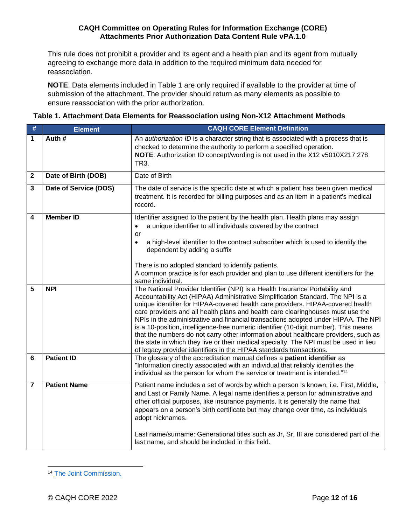This rule does not prohibit a provider and its agent and a health plan and its agent from mutually agreeing to exchange more data in addition to the required minimum data needed for reassociation.

**NOTE**: Data elements included in Table 1 are only required if available to the provider at time of submission of the attachment. The provider should return as many elements as possible to ensure reassociation with the prior authorization.

| Table 1. Attachment Data Elements for Reassociation using Non-X12 Attachment Methods |  |
|--------------------------------------------------------------------------------------|--|
|--------------------------------------------------------------------------------------|--|

| $\#$             | <b>Element</b>        | <b>CAQH CORE Element Definition</b>                                                                                                                                                                                                                                                                                                                                                                                                                                                                                                                                                                                                                                                                                                                                        |  |  |
|------------------|-----------------------|----------------------------------------------------------------------------------------------------------------------------------------------------------------------------------------------------------------------------------------------------------------------------------------------------------------------------------------------------------------------------------------------------------------------------------------------------------------------------------------------------------------------------------------------------------------------------------------------------------------------------------------------------------------------------------------------------------------------------------------------------------------------------|--|--|
| 1                | Auth#                 | An <i>authorization ID</i> is a character string that is associated with a process that is<br>checked to determine the authority to perform a specified operation.<br>NOTE: Authorization ID concept/wording is not used in the X12 v5010X217 278<br>TR3.                                                                                                                                                                                                                                                                                                                                                                                                                                                                                                                  |  |  |
| $\boldsymbol{2}$ | Date of Birth (DOB)   | Date of Birth                                                                                                                                                                                                                                                                                                                                                                                                                                                                                                                                                                                                                                                                                                                                                              |  |  |
| 3                | Date of Service (DOS) | The date of service is the specific date at which a patient has been given medical<br>treatment. It is recorded for billing purposes and as an item in a patient's medical<br>record.                                                                                                                                                                                                                                                                                                                                                                                                                                                                                                                                                                                      |  |  |
| 4                | <b>Member ID</b>      | Identifier assigned to the patient by the health plan. Health plans may assign<br>a unique identifier to all individuals covered by the contract<br>$\bullet$<br>or<br>a high-level identifier to the contract subscriber which is used to identify the<br>$\bullet$<br>dependent by adding a suffix<br>There is no adopted standard to identify patients.<br>A common practice is for each provider and plan to use different identifiers for the<br>same individual.                                                                                                                                                                                                                                                                                                     |  |  |
| 5                | <b>NPI</b>            | The National Provider Identifier (NPI) is a Health Insurance Portability and<br>Accountability Act (HIPAA) Administrative Simplification Standard. The NPI is a<br>unique identifier for HIPAA-covered health care providers. HIPAA-covered health<br>care providers and all health plans and health care clearinghouses must use the<br>NPIs in the administrative and financial transactions adopted under HIPAA. The NPI<br>is a 10-position, intelligence-free numeric identifier (10-digit number). This means<br>that the numbers do not carry other information about healthcare providers, such as<br>the state in which they live or their medical specialty. The NPI must be used in lieu<br>of legacy provider identifiers in the HIPAA standards transactions. |  |  |
| 6                | <b>Patient ID</b>     | The glossary of the accreditation manual defines a patient identifier as<br>"Information directly associated with an individual that reliably identifies the<br>individual as the person for whom the service or treatment is intended."14                                                                                                                                                                                                                                                                                                                                                                                                                                                                                                                                 |  |  |
| $\overline{7}$   | <b>Patient Name</b>   | Patient name includes a set of words by which a person is known, i.e. First, Middle,<br>and Last or Family Name. A legal name identifies a person for administrative and<br>other official purposes, like insurance payments. It is generally the name that<br>appears on a person's birth certificate but may change over time, as individuals<br>adopt nicknames.<br>Last name/surname: Generational titles such as Jr, Sr, III are considered part of the<br>last name, and should be included in this field.                                                                                                                                                                                                                                                           |  |  |

<sup>&</sup>lt;sup>14</sup> [The Joint Commission.](https://www.jointcommission.org/standards/standard-faqs/home-care/national-patient-safety-goals-npsg/000001545/)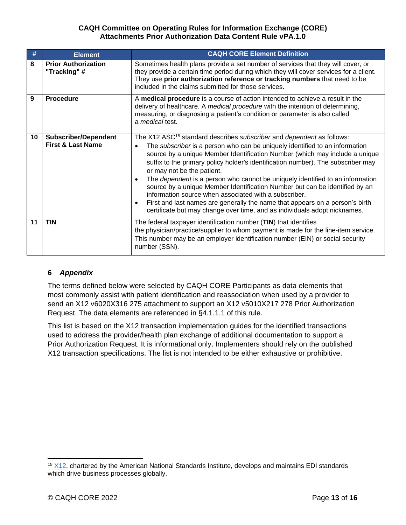| #  | <b>Element</b>                                              | <b>CAQH CORE Element Definition</b>                                                                                                                                                                                                                                                                                                                                                                                                                                                                                                                                                                                                                                                                                                                                         |  |
|----|-------------------------------------------------------------|-----------------------------------------------------------------------------------------------------------------------------------------------------------------------------------------------------------------------------------------------------------------------------------------------------------------------------------------------------------------------------------------------------------------------------------------------------------------------------------------------------------------------------------------------------------------------------------------------------------------------------------------------------------------------------------------------------------------------------------------------------------------------------|--|
| 8  | <b>Prior Authorization</b><br>"Tracking"#                   | Sometimes health plans provide a set number of services that they will cover, or<br>they provide a certain time period during which they will cover services for a client.<br>They use prior authorization reference or tracking numbers that need to be<br>included in the claims submitted for those services.                                                                                                                                                                                                                                                                                                                                                                                                                                                            |  |
| 9  | <b>Procedure</b>                                            | A medical procedure is a course of action intended to achieve a result in the<br>delivery of healthcare. A medical procedure with the intention of determining,<br>measuring, or diagnosing a patient's condition or parameter is also called<br>a medical test.                                                                                                                                                                                                                                                                                                                                                                                                                                                                                                            |  |
| 10 | <b>Subscriber/Dependent</b><br><b>First &amp; Last Name</b> | The X12 ASC <sup>15</sup> standard describes subscriber and dependent as follows:<br>The subscriber is a person who can be uniquely identified to an information<br>source by a unique Member Identification Number (which may include a unique<br>suffix to the primary policy holder's identification number). The subscriber may<br>or may not be the patient.<br>The <i>dependent</i> is a person who cannot be uniquely identified to an information<br>source by a unique Member Identification Number but can be identified by an<br>information source when associated with a subscriber.<br>First and last names are generally the name that appears on a person's birth<br>$\bullet$<br>certificate but may change over time, and as individuals adopt nicknames. |  |
| 11 | <b>TIN</b>                                                  | The federal taxpayer identification number (TIN) that identifies<br>the physician/practice/supplier to whom payment is made for the line-item service.<br>This number may be an employer identification number (EIN) or social security<br>number (SSN).                                                                                                                                                                                                                                                                                                                                                                                                                                                                                                                    |  |

#### <span id="page-12-0"></span>**6** *Appendix*

The terms defined below were selected by CAQH CORE Participants as data elements that most commonly assist with patient identification and reassociation when used by a provider to send an X12 v6020X316 275 attachment to support an X12 v5010X217 278 Prior Authorization Request. The data elements are referenced in §4.1.1.1 of this rule.

This list is based on the X12 transaction implementation guides for the identified transactions used to address the provider/health plan exchange of additional documentation to support a Prior Authorization Request. It is informational only. Implementers should rely on the published X12 transaction specifications. The list is not intended to be either exhaustive or prohibitive.

 $15$   $X12$ , chartered by the American National Standards Institute, develops and maintains EDI standards which drive business processes globally.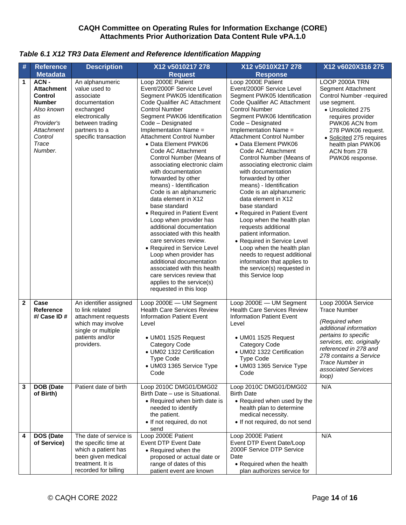#### *Table 6.1 X12 TR3 Data Element and Reference Identification Mapping*

| #                 | <b>Reference</b>                                                                                                                            | <b>Description</b>                                                                                                                                                    | X12 v5010217 278                                                                                                                                                                                                                                                                                                                                                                                                                                                                                                                                                                                                                                                                                                                                                                                                                                             | X12 v5010X217 278                                                                                                                                                                                                                                                                                                                                                                                                                                                                                                                                                                                                                                                                                                                                                                                       | X12 v6020X316 275                                                                                                                                                                                                                                             |
|-------------------|---------------------------------------------------------------------------------------------------------------------------------------------|-----------------------------------------------------------------------------------------------------------------------------------------------------------------------|--------------------------------------------------------------------------------------------------------------------------------------------------------------------------------------------------------------------------------------------------------------------------------------------------------------------------------------------------------------------------------------------------------------------------------------------------------------------------------------------------------------------------------------------------------------------------------------------------------------------------------------------------------------------------------------------------------------------------------------------------------------------------------------------------------------------------------------------------------------|---------------------------------------------------------------------------------------------------------------------------------------------------------------------------------------------------------------------------------------------------------------------------------------------------------------------------------------------------------------------------------------------------------------------------------------------------------------------------------------------------------------------------------------------------------------------------------------------------------------------------------------------------------------------------------------------------------------------------------------------------------------------------------------------------------|---------------------------------------------------------------------------------------------------------------------------------------------------------------------------------------------------------------------------------------------------------------|
|                   | <b>Metadata</b>                                                                                                                             |                                                                                                                                                                       | <b>Request</b>                                                                                                                                                                                                                                                                                                                                                                                                                                                                                                                                                                                                                                                                                                                                                                                                                                               | <b>Response</b>                                                                                                                                                                                                                                                                                                                                                                                                                                                                                                                                                                                                                                                                                                                                                                                         |                                                                                                                                                                                                                                                               |
| 1                 | ACN-<br><b>Attachment</b><br><b>Control</b><br><b>Number</b><br>Also known<br>as<br>Provider's<br>Attachment<br>Control<br>Trace<br>Number. | An alphanumeric<br>value used to<br>associate<br>documentation<br>exchanged<br>electronically<br>between trading<br>partners to a<br>specific transaction             | Loop 2000E Patient<br>Event/2000F Service Level<br>Segment PWK05 Identification<br>Code Qualifier AC Attachment<br><b>Control Number</b><br>Segment PWK06 Identification<br>Code - Designated<br>Implementation Name =<br>Attachment Control Number<br>• Data Element PWK06<br>Code AC Attachment<br>Control Number (Means of<br>associating electronic claim<br>with documentation<br>forwarded by other<br>means) - Identification<br>Code is an alphanumeric<br>data element in X12<br>base standard<br>• Required in Patient Event<br>Loop when provider has<br>additional documentation<br>associated with this health<br>care services review.<br>• Required in Service Level<br>Loop when provider has<br>additional documentation<br>associated with this health<br>care services review that<br>applies to the service(s)<br>requested in this loop | Loop 2000E Patient<br>Event/2000F Service Level<br>Segment PWK05 Identification<br>Code Qualifier AC Attachment<br><b>Control Number</b><br>Segment PWK06 Identification<br>Code - Designated<br>Implementation Name =<br><b>Attachment Control Number</b><br>• Data Element PWK06<br>Code AC Attachment<br>Control Number (Means of<br>associating electronic claim<br>with documentation<br>forwarded by other<br>means) - Identification<br>Code is an alphanumeric<br>data element in X12<br>base standard<br>• Required in Patient Event<br>Loop when the health plan<br>requests additional<br>patient information.<br>• Required in Service Level<br>Loop when the health plan<br>needs to request additional<br>information that applies to<br>the service(s) requested in<br>this Service loop | LOOP 2000A TRN<br>Segment Attachment<br><b>Control Number -required</b><br>use segment.<br>• Unsolicited 275<br>requires provider<br>PWK06 ACN from<br>278 PWK06 request.<br>• Solicited 275 requires<br>health plan PWK06<br>ACN from 278<br>PWK06 response. |
| $\mathbf{2}$<br>3 | Case<br><b>Reference</b><br>#/ $Case$ ID $#$<br>DOB (Date<br>of Birth)                                                                      | An identifier assigned<br>to link related<br>attachment requests<br>which may involve<br>single or multiple<br>patients and/or<br>providers.<br>Patient date of birth | Loop 2000E - UM Segment<br><b>Health Care Services Review</b><br><b>Information Patient Event</b><br>Level<br>• UM01 1525 Request<br>Category Code<br>• UM02 1322 Certification<br><b>Type Code</b><br>• UM03 1365 Service Type<br>Code<br>Loop 2010C DMG01/DMG02<br>Birth Date - use is Situational.<br>• Required when birth date is                                                                                                                                                                                                                                                                                                                                                                                                                                                                                                                       | Loop 2000E - UM Segment<br><b>Health Care Services Review</b><br><b>Information Patient Event</b><br>Level<br>• UM01 1525 Request<br>Category Code<br>• UM02 1322 Certification<br>Type Code<br>• UM03 1365 Service Type<br>Code<br>Loop 2010C DMG01/DMG02<br><b>Birth Date</b><br>• Required when used by the                                                                                                                                                                                                                                                                                                                                                                                                                                                                                          | Loop 2000A Service<br><b>Trace Number</b><br>(Required when<br>additional information<br>pertains to specific<br>services, etc. originally<br>referenced in 278 and<br>278 contains a Service<br>Trace Number in<br>associated Services<br>loop)<br>N/A       |
|                   |                                                                                                                                             |                                                                                                                                                                       | needed to identify<br>the patient.<br>• If not required, do not<br>send                                                                                                                                                                                                                                                                                                                                                                                                                                                                                                                                                                                                                                                                                                                                                                                      | health plan to determine<br>medical necessity.<br>• If not required, do not send                                                                                                                                                                                                                                                                                                                                                                                                                                                                                                                                                                                                                                                                                                                        |                                                                                                                                                                                                                                                               |
| 4                 | DOS (Date<br>of Service)                                                                                                                    | The date of service is<br>the specific time at<br>which a patient has<br>been given medical<br>treatment. It is                                                       | Loop 2000E Patient<br>Event DTP Event Date<br>• Required when the<br>proposed or actual date or<br>range of dates of this                                                                                                                                                                                                                                                                                                                                                                                                                                                                                                                                                                                                                                                                                                                                    | Loop 2000E Patient<br>Event DTP Event Date/Loop<br>2000F Service DTP Service<br>Date<br>• Required when the health                                                                                                                                                                                                                                                                                                                                                                                                                                                                                                                                                                                                                                                                                      | N/A                                                                                                                                                                                                                                                           |
|                   |                                                                                                                                             | recorded for billing                                                                                                                                                  | patient event are known                                                                                                                                                                                                                                                                                                                                                                                                                                                                                                                                                                                                                                                                                                                                                                                                                                      | plan authorizes service for                                                                                                                                                                                                                                                                                                                                                                                                                                                                                                                                                                                                                                                                                                                                                                             |                                                                                                                                                                                                                                                               |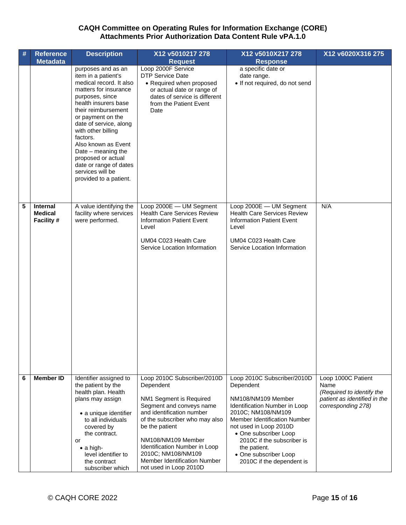|   | <b>Reference</b>                         | <b>Description</b>                                                                                                                                                                                                                                                                                                                                                                          | X12 v5010217 278                                                                                                                                                                                                                                                                                                        | X12 v5010X217 278                                                                                                                                                                                                                                                                                                          | X12 v6020X316 275                                                                                             |
|---|------------------------------------------|---------------------------------------------------------------------------------------------------------------------------------------------------------------------------------------------------------------------------------------------------------------------------------------------------------------------------------------------------------------------------------------------|-------------------------------------------------------------------------------------------------------------------------------------------------------------------------------------------------------------------------------------------------------------------------------------------------------------------------|----------------------------------------------------------------------------------------------------------------------------------------------------------------------------------------------------------------------------------------------------------------------------------------------------------------------------|---------------------------------------------------------------------------------------------------------------|
|   | <b>Metadata</b>                          |                                                                                                                                                                                                                                                                                                                                                                                             | <b>Request</b>                                                                                                                                                                                                                                                                                                          | <b>Response</b>                                                                                                                                                                                                                                                                                                            |                                                                                                               |
|   |                                          | purposes and as an<br>item in a patient's<br>medical record. It also<br>matters for insurance<br>purposes, since<br>health insurers base<br>their reimbursement<br>or payment on the<br>date of service, along<br>with other billing<br>factors.<br>Also known as Event<br>Date - meaning the<br>proposed or actual<br>date or range of dates<br>services will be<br>provided to a patient. | Loop 2000F Service<br><b>DTP Service Date</b><br>• Required when proposed<br>or actual date or range of<br>dates of service is different<br>from the Patient Event<br>Date                                                                                                                                              | a specific date or<br>date range.<br>· If not required, do not send                                                                                                                                                                                                                                                        |                                                                                                               |
| 5 | Internal<br><b>Medical</b><br>Facility # | A value identifying the<br>facility where services<br>were performed.                                                                                                                                                                                                                                                                                                                       | Loop 2000E - UM Segment<br><b>Health Care Services Review</b><br><b>Information Patient Event</b><br>Level<br>UM04 C023 Health Care<br>Service Location Information                                                                                                                                                     | Loop 2000E - UM Segment<br><b>Health Care Services Review</b><br><b>Information Patient Event</b><br>Level<br>UM04 C023 Health Care<br>Service Location Information                                                                                                                                                        | N/A                                                                                                           |
| 6 | <b>Member ID</b>                         | Identifier assigned to<br>the patient by the<br>health plan. Health<br>plans may assign<br>• a unique identifier<br>to all individuals<br>covered by<br>the contract.<br>or<br>$\bullet$ a high-<br>level identifier to<br>the contract<br>subscriber which                                                                                                                                 | Loop 2010C Subscriber/2010D<br>Dependent<br>NM1 Segment is Required<br>Segment and conveys name<br>and identification number<br>of the subscriber who may also<br>be the patient<br>NM108/NM109 Member<br>Identification Number in Loop<br>2010C; NM108/NM109<br>Member Identification Number<br>not used in Loop 2010D | Loop 2010C Subscriber/2010D<br>Dependent<br>NM108/NM109 Member<br><b>Identification Number in Loop</b><br>2010C; NM108/NM109<br><b>Member Identification Number</b><br>not used in Loop 2010D<br>• One subscriber Loop<br>2010C if the subscriber is<br>the patient.<br>• One subscriber Loop<br>2010C if the dependent is | Loop 1000C Patient<br>Name<br>(Required to identify the<br>patient as identified in the<br>corresponding 278) |